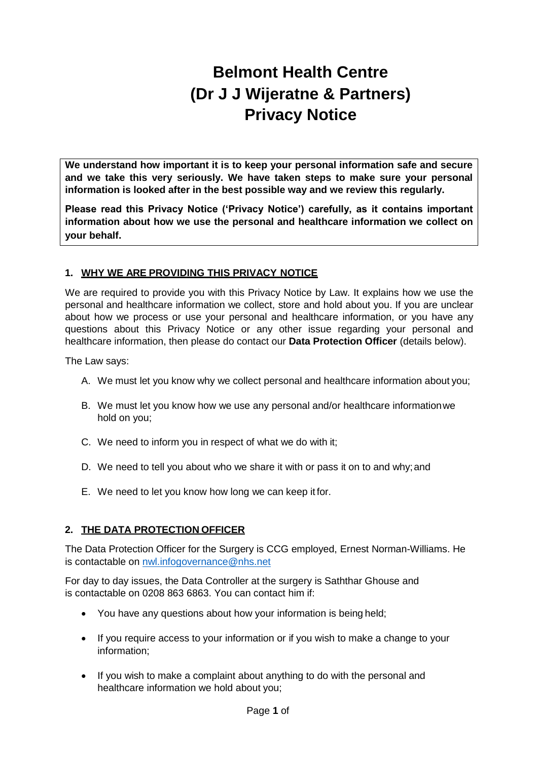# **Belmont Health Centre (Dr J J Wijeratne & Partners) Privacy Notice**

**We understand how important it is to keep your personal information safe and secure and we take this very seriously. We have taken steps to make sure your personal information is looked after in the best possible way and we review this regularly.**

**Please read this Privacy Notice ('Privacy Notice') carefully, as it contains important information about how we use the personal and healthcare information we collect on your behalf.**

# **1. WHY WE ARE PROVIDING THIS PRIVACY NOTICE**

We are required to provide you with this Privacy Notice by Law. It explains how we use the personal and healthcare information we collect, store and hold about you. If you are unclear about how we process or use your personal and healthcare information, or you have any questions about this Privacy Notice or any other issue regarding your personal and healthcare information, then please do contact our **Data Protection Officer** (details below).

The Law says:

- A. We must let you know why we collect personal and healthcare information about you;
- B. We must let you know how we use any personal and/or healthcare informationwe hold on you;
- C. We need to inform you in respect of what we do with it;
- D. We need to tell you about who we share it with or pass it on to and why; and
- E. We need to let you know how long we can keep it for.

## **2. THE DATA PROTECTION OFFICER**

The Data Protection Officer for the Surgery is CCG employed, Ernest Norman-Williams. He is contactable on [nwl.infogovernance@nhs.net](mailto:nwl.infogovernance@nhs.net)

For day to day issues, the Data Controller at the surgery is Saththar Ghouse and is contactable on 0208 863 6863. You can contact him if:

- You have any questions about how your information is being held;
- If you require access to your information or if you wish to make a change to your information;
- If you wish to make a complaint about anything to do with the personal and healthcare information we hold about you;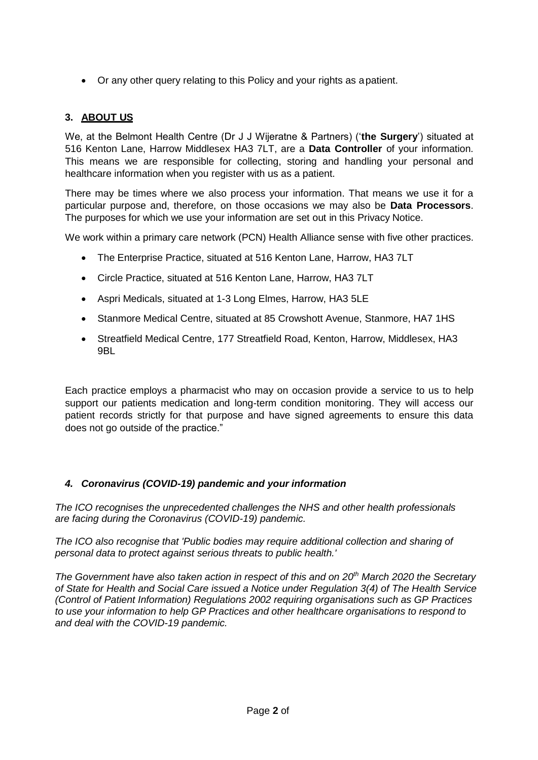Or any other query relating to this Policy and your rights as apatient.

# **3. ABOUT US**

We, at the Belmont Health Centre (Dr J J Wijeratne & Partners) ('**the Surgery**') situated at 516 Kenton Lane, Harrow Middlesex HA3 7LT, are a **Data Controller** of your information. This means we are responsible for collecting, storing and handling your personal and healthcare information when you register with us as a patient.

There may be times where we also process your information. That means we use it for a particular purpose and, therefore, on those occasions we may also be **Data Processors**. The purposes for which we use your information are set out in this Privacy Notice.

We work within a primary care network (PCN) Health Alliance sense with five other practices.

- The Enterprise Practice, situated at 516 Kenton Lane, Harrow, HA3 7LT
- Circle Practice, situated at 516 Kenton Lane, Harrow, HA3 7LT
- Aspri Medicals, situated at 1-3 Long Elmes, Harrow, HA3 5LE
- Stanmore Medical Centre, situated at 85 Crowshott Avenue, Stanmore, HA7 1HS
- Streatfield Medical Centre, 177 Streatfield Road, Kenton, Harrow, Middlesex, HA3 9BL

Each practice employs a pharmacist who may on occasion provide a service to us to help support our patients medication and long-term condition monitoring. They will access our patient records strictly for that purpose and have signed agreements to ensure this data does not go outside of the practice."

## *4. Coronavirus (COVID-19) pandemic and your information*

*The ICO recognises the unprecedented challenges the NHS and other health professionals are facing during the Coronavirus (COVID-19) pandemic.*

*The ICO also recognise that 'Public bodies may require additional collection and sharing of personal data to protect against serious threats to public health.'*

*The Government have also taken action in respect of this and on 20th March 2020 the Secretary of State for Health and Social Care issued a Notice under Regulation 3(4) of The Health Service (Control of Patient Information) Regulations 2002 requiring organisations such as GP Practices to use your information to help GP Practices and other healthcare organisations to respond to and deal with the COVID-19 pandemic.*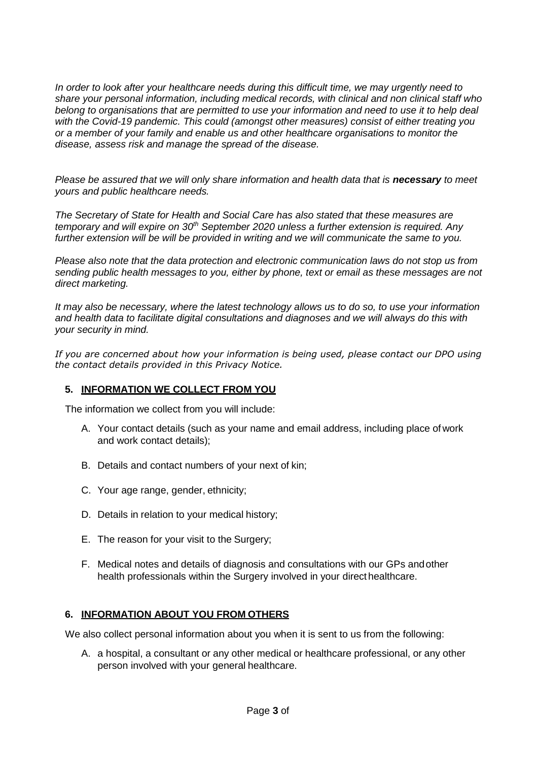*In order to look after your healthcare needs during this difficult time, we may urgently need to share your personal information, including medical records, with clinical and non clinical staff who belong to organisations that are permitted to use your information and need to use it to help deal with the Covid-19 pandemic. This could (amongst other measures) consist of either treating you or a member of your family and enable us and other healthcare organisations to monitor the disease, assess risk and manage the spread of the disease.*

*Please be assured that we will only share information and health data that is necessary to meet yours and public healthcare needs.*

*The Secretary of State for Health and Social Care has also stated that these measures are temporary and will expire on 30th September 2020 unless a further extension is required. Any further extension will be will be provided in writing and we will communicate the same to you.*

*Please also note that the data protection and electronic communication laws do not stop us from sending public health messages to you, either by phone, text or email as these messages are not direct marketing.*

*It may also be necessary, where the latest technology allows us to do so, to use your information and health data to facilitate digital consultations and diagnoses and we will always do this with your security in mind.*

*If you are concerned about how your information is being used, please contact our DPO using the contact details provided in this Privacy Notice.*

#### **5. INFORMATION WE COLLECT FROM YOU**

The information we collect from you will include:

- A. Your contact details (such as your name and email address, including place of work and work contact details);
- B. Details and contact numbers of your next of kin;
- C. Your age range, gender, ethnicity;
- D. Details in relation to your medical history;
- E. The reason for your visit to the Surgery;
- F. Medical notes and details of diagnosis and consultations with our GPs andother health professionals within the Surgery involved in your direct healthcare.

## **6. INFORMATION ABOUT YOU FROM OTHERS**

We also collect personal information about you when it is sent to us from the following:

A. a hospital, a consultant or any other medical or healthcare professional, or any other person involved with your general healthcare.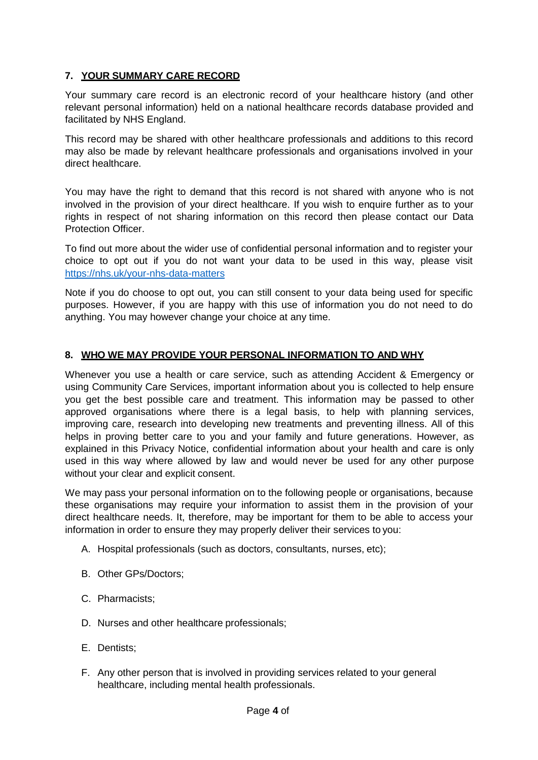## **7. YOUR SUMMARY CARE RECORD**

Your summary care record is an electronic record of your healthcare history (and other relevant personal information) held on a national healthcare records database provided and facilitated by NHS England.

This record may be shared with other healthcare professionals and additions to this record may also be made by relevant healthcare professionals and organisations involved in your direct healthcare.

You may have the right to demand that this record is not shared with anyone who is not involved in the provision of your direct healthcare. If you wish to enquire further as to your rights in respect of not sharing information on this record then please contact our Data Protection Officer.

To find out more about the wider use of confidential personal information and to register your choice to opt out if you do not want your data to be used in this way, please visit <https://nhs.uk/your-nhs-data-matters>

Note if you do choose to opt out, you can still consent to your data being used for specific purposes. However, if you are happy with this use of information you do not need to do anything. You may however change your choice at any time.

## **8. WHO WE MAY PROVIDE YOUR PERSONAL INFORMATION TO AND WHY**

Whenever you use a health or care service, such as attending Accident & Emergency or using Community Care Services, important information about you is collected to help ensure you get the best possible care and treatment. This information may be passed to other approved organisations where there is a legal basis, to help with planning services, improving care, research into developing new treatments and preventing illness. All of this helps in proving better care to you and your family and future generations. However, as explained in this Privacy Notice, confidential information about your health and care is only used in this way where allowed by law and would never be used for any other purpose without your clear and explicit consent.

We may pass your personal information on to the following people or organisations, because these organisations may require your information to assist them in the provision of your direct healthcare needs. It, therefore, may be important for them to be able to access your information in order to ensure they may properly deliver their services to you:

- A. Hospital professionals (such as doctors, consultants, nurses, etc);
- B. Other GPs/Doctors;
- C. Pharmacists;
- D. Nurses and other healthcare professionals;
- E. Dentists;
- F. Any other person that is involved in providing services related to your general healthcare, including mental health professionals.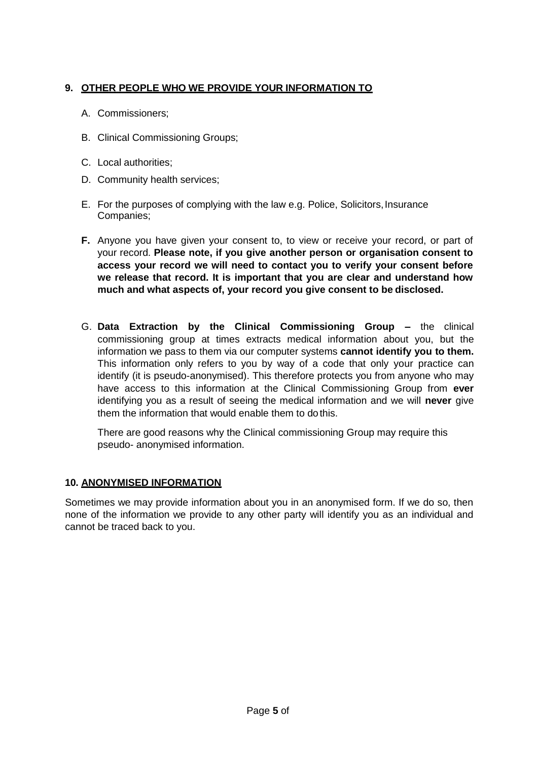# **9. OTHER PEOPLE WHO WE PROVIDE YOUR INFORMATION TO**

- A. Commissioners;
- B. Clinical Commissioning Groups;
- C. Local authorities;
- D. Community health services;
- E. For the purposes of complying with the law e.g. Police, Solicitors,Insurance Companies;
- **F.** Anyone you have given your consent to, to view or receive your record, or part of your record. **Please note, if you give another person or organisation consent to access your record we will need to contact you to verify your consent before we release that record. It is important that you are clear and understand how much and what aspects of, your record you give consent to be disclosed.**
- G. **Data Extraction by the Clinical Commissioning Group –** the clinical commissioning group at times extracts medical information about you, but the information we pass to them via our computer systems **cannot identify you to them.**  This information only refers to you by way of a code that only your practice can identify (it is pseudo-anonymised). This therefore protects you from anyone who may have access to this information at the Clinical Commissioning Group from **ever**  identifying you as a result of seeing the medical information and we will **never** give them the information that would enable them to dothis.

There are good reasons why the Clinical commissioning Group may require this pseudo- anonymised information.

## **10. ANONYMISED INFORMATION**

Sometimes we may provide information about you in an anonymised form. If we do so, then none of the information we provide to any other party will identify you as an individual and cannot be traced back to you.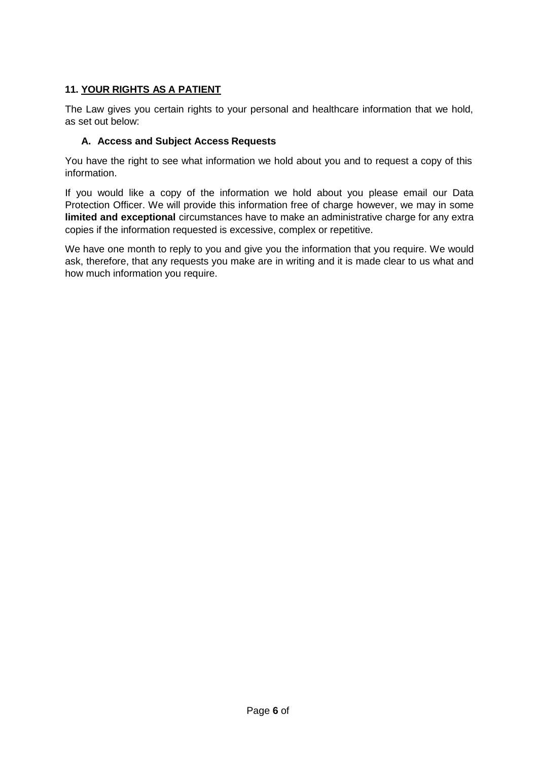# **11. YOUR RIGHTS AS A PATIENT**

The Law gives you certain rights to your personal and healthcare information that we hold, as set out below:

## **A. Access and Subject Access Requests**

You have the right to see what information we hold about you and to request a copy of this information.

If you would like a copy of the information we hold about you please email our Data Protection Officer. We will provide this information free of charge however, we may in some **limited and exceptional** circumstances have to make an administrative charge for any extra copies if the information requested is excessive, complex or repetitive.

We have one month to reply to you and give you the information that you require. We would ask, therefore, that any requests you make are in writing and it is made clear to us what and how much information you require.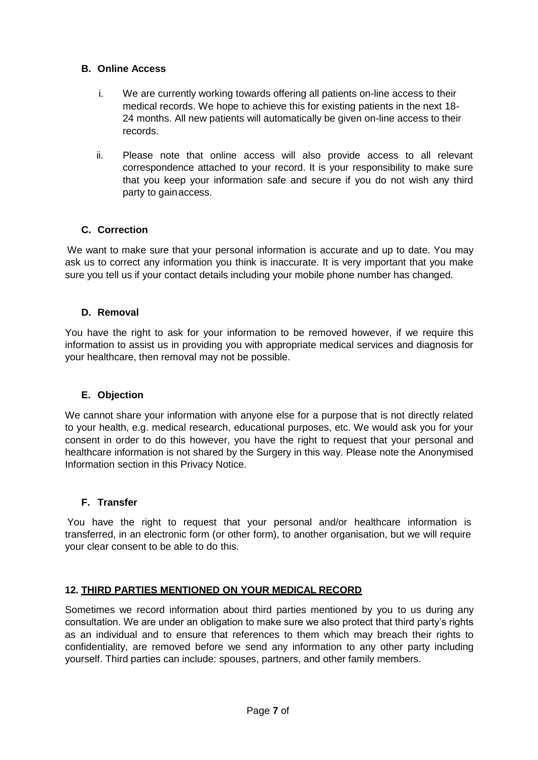#### **B. Online Access**

- i. We are currently working towards offering all patients on-line access to their medical records. We hope to achieve this for existing patients in the next 18- 24 months. All new patients will automatically be given on-line access to their records.
- ii. Please note that online access will also provide access to all relevant correspondence attached to your record. It is your responsibility to make sure that you keep your information safe and secure if you do not wish any third party to gainaccess.

## **C. Correction**

We want to make sure that your personal information is accurate and up to date. You may ask us to correct any information you think is inaccurate. It is very important that you make sure you tell us if your contact details including your mobile phone number has changed.

#### **D. Removal**

You have the right to ask for your information to be removed however, if we require this information to assist us in providing you with appropriate medical services and diagnosis for your healthcare, then removal may not be possible.

#### **E. Objection**

We cannot share your information with anyone else for a purpose that is not directly related to your health, e.g. medical research, educational purposes, etc. We would ask you for your consent in order to do this however, you have the right to request that your personal and healthcare information is not shared by the Surgery in this way. Please note the Anonymised Information section in this Privacy Notice.

## **F. Transfer**

You have the right to request that your personal and/or healthcare information is transferred, in an electronic form (or other form), to another organisation, but we will require your clear consent to be able to do this.

## **12. THIRD PARTIES MENTIONED ON YOUR MEDICAL RECORD**

Sometimes we record information about third parties mentioned by you to us during any consultation. We are under an obligation to make sure we also protect that third party's rights as an individual and to ensure that references to them which may breach their rights to confidentiality, are removed before we send any information to any other party including yourself. Third parties can include: spouses, partners, and other family members.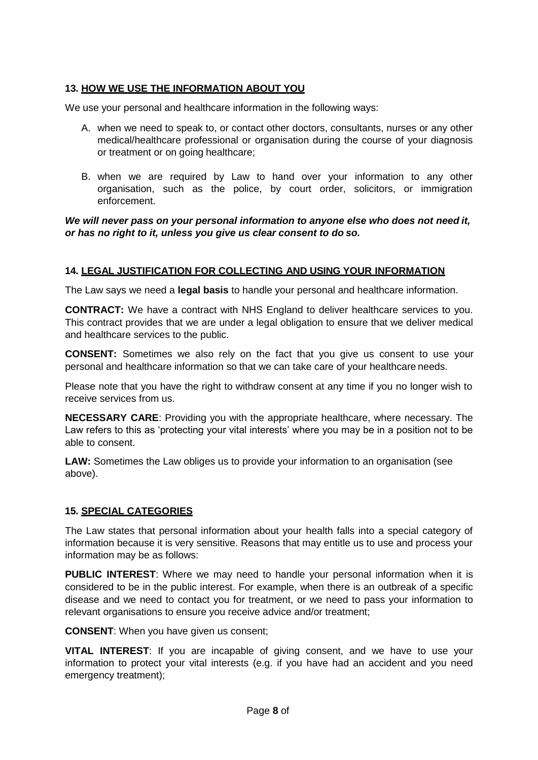# **13. HOW WE USE THE INFORMATION ABOUT YOU**

We use your personal and healthcare information in the following ways:

- A. when we need to speak to, or contact other doctors, consultants, nurses or any other medical/healthcare professional or organisation during the course of your diagnosis or treatment or on going healthcare;
- B. when we are required by Law to hand over your information to any other organisation, such as the police, by court order, solicitors, or immigration enforcement.

#### *We will never pass on your personal information to anyone else who does not need it, or has no right to it, unless you give us clear consent to do so.*

## **14. LEGAL JUSTIFICATION FOR COLLECTING AND USING YOUR INFORMATION**

The Law says we need a **legal basis** to handle your personal and healthcare information.

**CONTRACT:** We have a contract with NHS England to deliver healthcare services to you. This contract provides that we are under a legal obligation to ensure that we deliver medical and healthcare services to the public.

**CONSENT:** Sometimes we also rely on the fact that you give us consent to use your personal and healthcare information so that we can take care of your healthcare needs.

Please note that you have the right to withdraw consent at any time if you no longer wish to receive services from us.

**NECESSARY CARE**: Providing you with the appropriate healthcare, where necessary. The Law refers to this as 'protecting your vital interests' where you may be in a position not to be able to consent.

**LAW:** Sometimes the Law obliges us to provide your information to an organisation (see above).

## **15. SPECIAL CATEGORIES**

The Law states that personal information about your health falls into a special category of information because it is very sensitive. Reasons that may entitle us to use and process your information may be as follows:

**PUBLIC INTEREST**: Where we may need to handle your personal information when it is considered to be in the public interest. For example, when there is an outbreak of a specific disease and we need to contact you for treatment, or we need to pass your information to relevant organisations to ensure you receive advice and/or treatment;

**CONSENT**: When you have given us consent;

**VITAL INTEREST**: If you are incapable of giving consent, and we have to use your information to protect your vital interests (e.g. if you have had an accident and you need emergency treatment);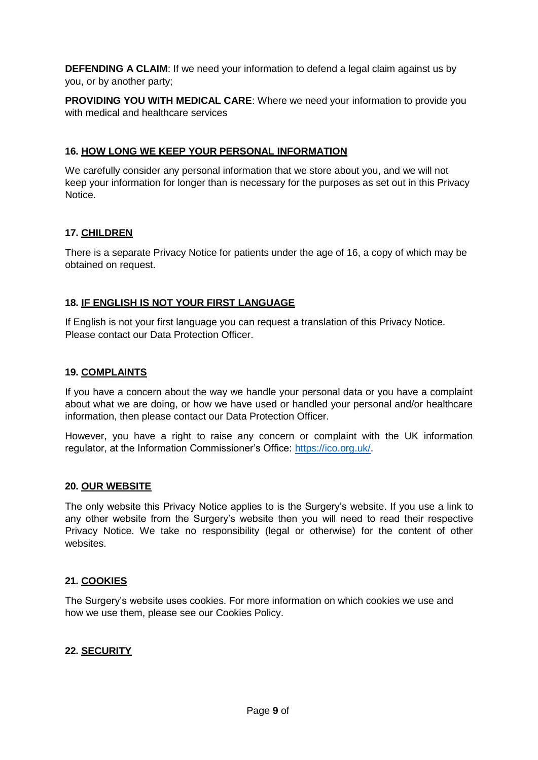**DEFENDING A CLAIM:** If we need your information to defend a legal claim against us by you, or by another party;

**PROVIDING YOU WITH MEDICAL CARE:** Where we need your information to provide you with medical and healthcare services

#### **16. HOW LONG WE KEEP YOUR PERSONAL INFORMATION**

We carefully consider any personal information that we store about you, and we will not keep your information for longer than is necessary for the purposes as set out in this Privacy Notice.

#### **17. CHILDREN**

There is a separate Privacy Notice for patients under the age of 16, a copy of which may be obtained on request.

#### **18. IF ENGLISH IS NOT YOUR FIRST LANGUAGE**

If English is not your first language you can request a translation of this Privacy Notice. Please contact our Data Protection Officer.

#### **19. COMPLAINTS**

If you have a concern about the way we handle your personal data or you have a complaint about what we are doing, or how we have used or handled your personal and/or healthcare information, then please contact our Data Protection Officer.

However, you have a right to raise any concern or complaint with the UK information regulator, at the Information Commissioner's Office: [https://ico.org.uk/.](https://ico.org.uk/)

#### **20. OUR WEBSITE**

The only website this Privacy Notice applies to is the Surgery's website. If you use a link to any other website from the Surgery's website then you will need to read their respective Privacy Notice. We take no responsibility (legal or otherwise) for the content of other websites.

#### **21. COOKIES**

The Surgery's website uses cookies. For more information on which cookies we use and how we use them, please see our Cookies Policy.

#### **22. SECURITY**